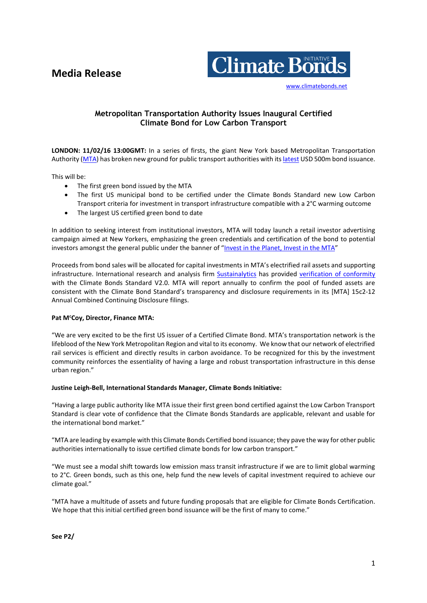# **Media Release**



[www.climatebonds.net](http://www.climatebonds.net/)

# **Metropolitan Transportation Authority Issues Inaugural Certified Climate Bond for Low Carbon Transport**

**LONDON: 11/02/16 13:00GMT:** In a series of firsts, the giant New York based Metropolitan Transportation Authority [\(MTA\)](http://web.mta.info/accountability/) has broken new ground for public transport authorities with it[s latest](http://www.mta.info/press-release/mta-headquarters/mta-new-yorkers-invest-planet-invest-mta) USD 500m bond issuance.

This will be:

- The first green bond issued by the MTA
- The first US municipal bond to be certified under the Climate Bonds Standard new Low Carbon Transport criteria for investment in transport infrastructure compatible with a 2°C warming outcome
- The largest US certified green bond to date

In addition to seeking interest from institutional investors, MTA will today launch a retail investor advertising campaign aimed at New Yorkers, emphasizing the green credentials and certification of the bond to potential investors amongst the general public under the banner of "Invest in the Planet, [Invest in the MTA](http://www.mta.info/press-release/mta-headquarters/mta-new-yorkers-invest-planet-invest-mta)"

Proceeds from bond sales will be allocated for capital investments in MTA's electrified rail assets and supporting infrastructure. International research and analysis firm **Sustainalytics** has provided verification [of conformity](http://web.mta.info/mta/investor/pdf/2016/Sustainalytics_Letter.pdf) with the Climate Bonds Standard V2.0. MTA will report annually to confirm the pool of funded assets are consistent with the Climate Bond Standard's transparency and disclosure requirements in its [MTA] 15c2-12 Annual Combined Continuing Disclosure filings.

## **Pat M<sup>c</sup>Coy, Director, Finance MTA:**

"We are very excited to be the first US issuer of a Certified Climate Bond. MTA's transportation network is the lifeblood of the New York Metropolitan Region and vital to its economy. We know that our network of electrified rail services is efficient and directly results in carbon avoidance. To be recognized for this by the investment community reinforces the essentiality of having a large and robust transportation infrastructure in this dense urban region."

## **Justine Leigh-Bell, International Standards Manager, Climate Bonds Initiative:**

"Having a large public authority like MTA issue their first green bond certified against the Low Carbon Transport Standard is clear vote of confidence that the Climate Bonds Standards are applicable, relevant and usable for the international bond market."

"MTA are leading by example with this Climate Bonds Certified bond issuance; they pave the way for other public authorities internationally to issue certified climate bonds for low carbon transport."

"We must see a modal shift towards low emission mass transit infrastructure if we are to limit global warming to 2°C. Green bonds, such as this one, help fund the new levels of capital investment required to achieve our climate goal."

"MTA have a multitude of assets and future funding proposals that are eligible for Climate Bonds Certification. We hope that this initial certified green bond issuance will be the first of many to come."

**See P2/**